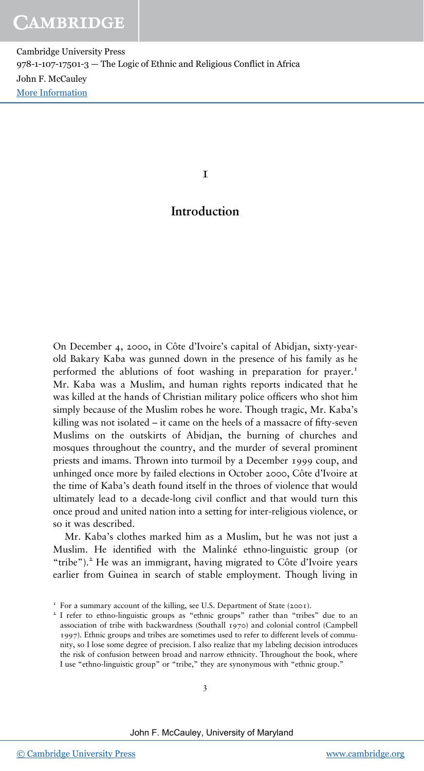Cambridge University Press 978-1-107-17501-3 — The Logic of Ethnic and Religious Conflict in Africa John F. McCauley [More Information](www.cambridge.org/9781107175013)

1

## Introduction

On December 4, 2000, in Côte d'Ivoire's capital of Abidjan, sixty-yearold Bakary Kaba was gunned down in the presence of his family as he performed the ablutions of foot washing in preparation for prayer.<sup>1</sup> Mr. Kaba was a Muslim, and human rights reports indicated that he was killed at the hands of Christian military police officers who shot him simply because of the Muslim robes he wore. Though tragic, Mr. Kaba's killing was not isolated – it came on the heels of a massacre of fifty-seven Muslims on the outskirts of Abidjan, the burning of churches and mosques throughout the country, and the murder of several prominent priests and imams. Thrown into turmoil by a December 1999 coup, and unhinged once more by failed elections in October 2000, Côte d'Ivoire at the time of Kaba's death found itself in the throes of violence that would ultimately lead to a decade-long civil conflict and that would turn this once proud and united nation into a setting for inter-religious violence, or so it was described.

Mr. Kaba's clothes marked him as a Muslim, but he was not just a Muslim. He identified with the Malinké ethno-linguistic group (or "tribe").<sup>2</sup> He was an immigrant, having migrated to Côte d'Ivoire years earlier from Guinea in search of stable employment. Though living in

<sup>&</sup>lt;sup>1</sup> For a summary account of the killing, see U.S. Department of State (2001).

<sup>&</sup>lt;sup>2</sup> I refer to ethno-linguistic groups as "ethnic groups" rather than "tribes" due to an association of tribe with backwardness (Southall 1970) and colonial control (Campbell 1997). Ethnic groups and tribes are sometimes used to refer to different levels of community, so I lose some degree of precision. I also realize that my labeling decision introduces the risk of confusion between broad and narrow ethnicity. Throughout the book, where I use "ethno-linguistic group" or "tribe," they are synonymous with "ethnic group."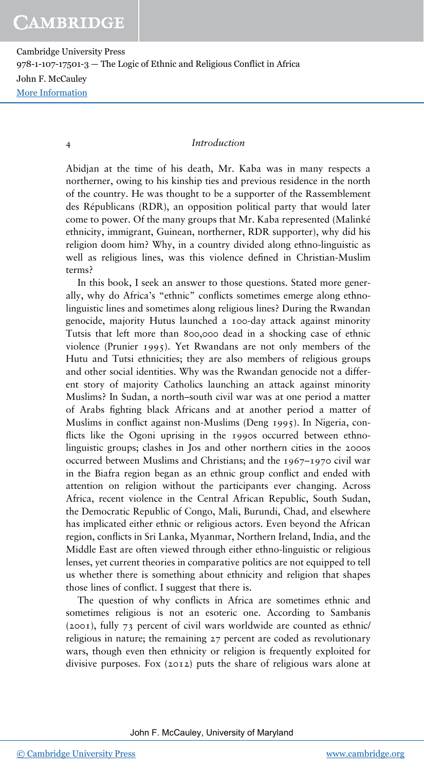Abidjan at the time of his death, Mr. Kaba was in many respects a northerner, owing to his kinship ties and previous residence in the north of the country. He was thought to be a supporter of the Rassemblement des Républicans (RDR), an opposition political party that would later come to power. Of the many groups that Mr. Kaba represented (Malinké ethnicity, immigrant, Guinean, northerner, RDR supporter), why did his religion doom him? Why, in a country divided along ethno-linguistic as well as religious lines, was this violence defined in Christian-Muslim terms?

In this book, I seek an answer to those questions. Stated more generally, why do Africa's "ethnic" conflicts sometimes emerge along ethnolinguistic lines and sometimes along religious lines? During the Rwandan genocide, majority Hutus launched a 100-day attack against minority Tutsis that left more than 800,000 dead in a shocking case of ethnic violence (Prunier 1995). Yet Rwandans are not only members of the Hutu and Tutsi ethnicities; they are also members of religious groups and other social identities. Why was the Rwandan genocide not a different story of majority Catholics launching an attack against minority Muslims? In Sudan, a north–south civil war was at one period a matter of Arabs fighting black Africans and at another period a matter of Muslims in conflict against non-Muslims (Deng 1995). In Nigeria, conflicts like the Ogoni uprising in the 1990s occurred between ethnolinguistic groups; clashes in Jos and other northern cities in the 2000s occurred between Muslims and Christians; and the 1967–1970 civil war in the Biafra region began as an ethnic group conflict and ended with attention on religion without the participants ever changing. Across Africa, recent violence in the Central African Republic, South Sudan, the Democratic Republic of Congo, Mali, Burundi, Chad, and elsewhere has implicated either ethnic or religious actors. Even beyond the African region, conflicts in Sri Lanka, Myanmar, Northern Ireland, India, and the Middle East are often viewed through either ethno-linguistic or religious lenses, yet current theories in comparative politics are not equipped to tell us whether there is something about ethnicity and religion that shapes those lines of conflict. I suggest that there is.

The question of why conflicts in Africa are sometimes ethnic and sometimes religious is not an esoteric one. According to Sambanis (2001), fully 73 percent of civil wars worldwide are counted as ethnic/ religious in nature; the remaining 27 percent are coded as revolutionary wars, though even then ethnicity or religion is frequently exploited for divisive purposes. Fox (2012) puts the share of religious wars alone at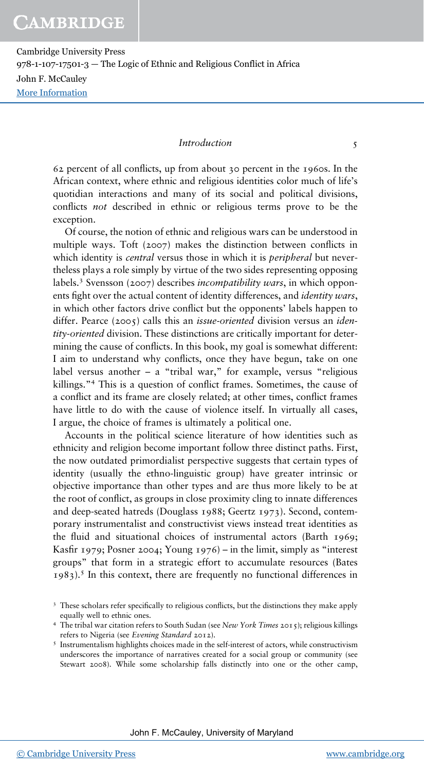62 percent of all conflicts, up from about 30 percent in the 1960s. In the African context, where ethnic and religious identities color much of life's quotidian interactions and many of its social and political divisions, conflicts not described in ethnic or religious terms prove to be the exception.

Of course, the notion of ethnic and religious wars can be understood in multiple ways. Toft (2007) makes the distinction between conflicts in which identity is *central* versus those in which it is *peripheral* but nevertheless plays a role simply by virtue of the two sides representing opposing labels.<sup>3</sup> Svensson (2007) describes *incompatibility wars*, in which opponents fight over the actual content of identity differences, and identity wars, in which other factors drive conflict but the opponents' labels happen to differ. Pearce (2005) calls this an *issue-oriented* division versus an *iden*tity-oriented division. These distinctions are critically important for determining the cause of conflicts. In this book, my goal is somewhat different: I aim to understand why conflicts, once they have begun, take on one label versus another  $-$  a "tribal war," for example, versus "religious killings." <sup>4</sup> This is a question of conflict frames. Sometimes, the cause of a conflict and its frame are closely related; at other times, conflict frames have little to do with the cause of violence itself. In virtually all cases, I argue, the choice of frames is ultimately a political one.

Accounts in the political science literature of how identities such as ethnicity and religion become important follow three distinct paths. First, the now outdated primordialist perspective suggests that certain types of identity (usually the ethno-linguistic group) have greater intrinsic or objective importance than other types and are thus more likely to be at the root of conflict, as groups in close proximity cling to innate differences and deep-seated hatreds (Douglass 1988; Geertz 1973). Second, contemporary instrumentalist and constructivist views instead treat identities as the fluid and situational choices of instrumental actors (Barth 1969; Kasfir 1979; Posner 2004; Young 1976) – in the limit, simply as "interest groups" that form in a strategic effort to accumulate resources (Bates 1983).<sup>5</sup> In this context, there are frequently no functional differences in

<sup>&</sup>lt;sup>3</sup> These scholars refer specifically to religious conflicts, but the distinctions they make apply equally well to ethnic ones.

<sup>&</sup>lt;sup>4</sup> The tribal war citation refers to South Sudan (see New York Times 2015); religious killings refers to Nigeria (see Evening Standard 2012).

<sup>&</sup>lt;sup>5</sup> Instrumentalism highlights choices made in the self-interest of actors, while constructivism underscores the importance of narratives created for a social group or community (see Stewart 2008). While some scholarship falls distinctly into one or the other camp,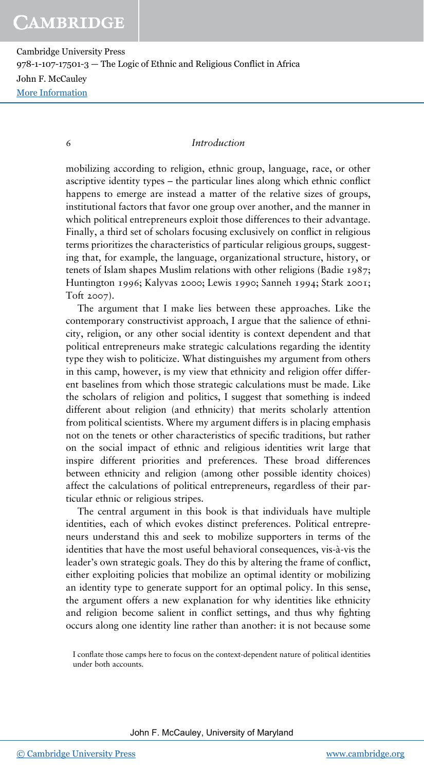Cambridge University Press 978-1-107-17501-3 — The Logic of Ethnic and Religious Conflict in Africa John F. McCauley [More Information](www.cambridge.org/9781107175013)

### 6 Introduction

mobilizing according to religion, ethnic group, language, race, or other ascriptive identity types – the particular lines along which ethnic conflict happens to emerge are instead a matter of the relative sizes of groups, institutional factors that favor one group over another, and the manner in which political entrepreneurs exploit those differences to their advantage. Finally, a third set of scholars focusing exclusively on conflict in religious terms prioritizes the characteristics of particular religious groups, suggesting that, for example, the language, organizational structure, history, or tenets of Islam shapes Muslim relations with other religions (Badie 1987; Huntington 1996; Kalyvas 2000; Lewis 1990; Sanneh 1994; Stark 2001; Toft 2007).

The argument that I make lies between these approaches. Like the contemporary constructivist approach, I argue that the salience of ethnicity, religion, or any other social identity is context dependent and that political entrepreneurs make strategic calculations regarding the identity type they wish to politicize. What distinguishes my argument from others in this camp, however, is my view that ethnicity and religion offer different baselines from which those strategic calculations must be made. Like the scholars of religion and politics, I suggest that something is indeed different about religion (and ethnicity) that merits scholarly attention from political scientists. Where my argument differs is in placing emphasis not on the tenets or other characteristics of specific traditions, but rather on the social impact of ethnic and religious identities writ large that inspire different priorities and preferences. These broad differences between ethnicity and religion (among other possible identity choices) affect the calculations of political entrepreneurs, regardless of their particular ethnic or religious stripes.

The central argument in this book is that individuals have multiple identities, each of which evokes distinct preferences. Political entrepreneurs understand this and seek to mobilize supporters in terms of the identities that have the most useful behavioral consequences, vis-à-vis the leader's own strategic goals. They do this by altering the frame of conflict, either exploiting policies that mobilize an optimal identity or mobilizing an identity type to generate support for an optimal policy. In this sense, the argument offers a new explanation for why identities like ethnicity and religion become salient in conflict settings, and thus why fighting occurs along one identity line rather than another: it is not because some

I conflate those camps here to focus on the context-dependent nature of political identities under both accounts.

John F. McCauley, University of Maryland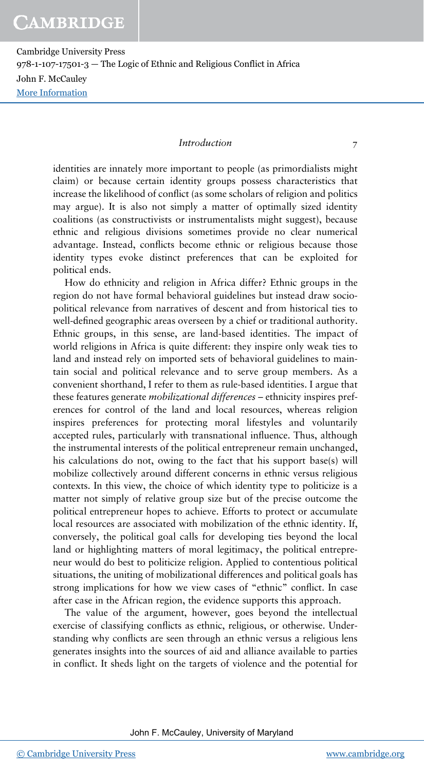identities are innately more important to people (as primordialists might claim) or because certain identity groups possess characteristics that increase the likelihood of conflict (as some scholars of religion and politics may argue). It is also not simply a matter of optimally sized identity coalitions (as constructivists or instrumentalists might suggest), because ethnic and religious divisions sometimes provide no clear numerical advantage. Instead, conflicts become ethnic or religious because those identity types evoke distinct preferences that can be exploited for political ends.

How do ethnicity and religion in Africa differ? Ethnic groups in the region do not have formal behavioral guidelines but instead draw sociopolitical relevance from narratives of descent and from historical ties to well-defined geographic areas overseen by a chief or traditional authority. Ethnic groups, in this sense, are land-based identities. The impact of world religions in Africa is quite different: they inspire only weak ties to land and instead rely on imported sets of behavioral guidelines to maintain social and political relevance and to serve group members. As a convenient shorthand, I refer to them as rule-based identities. I argue that these features generate *mobilizational differences* – ethnicity inspires preferences for control of the land and local resources, whereas religion inspires preferences for protecting moral lifestyles and voluntarily accepted rules, particularly with transnational influence. Thus, although the instrumental interests of the political entrepreneur remain unchanged, his calculations do not, owing to the fact that his support base(s) will mobilize collectively around different concerns in ethnic versus religious contexts. In this view, the choice of which identity type to politicize is a matter not simply of relative group size but of the precise outcome the political entrepreneur hopes to achieve. Efforts to protect or accumulate local resources are associated with mobilization of the ethnic identity. If, conversely, the political goal calls for developing ties beyond the local land or highlighting matters of moral legitimacy, the political entrepreneur would do best to politicize religion. Applied to contentious political situations, the uniting of mobilizational differences and political goals has strong implications for how we view cases of "ethnic" conflict. In case after case in the African region, the evidence supports this approach.

The value of the argument, however, goes beyond the intellectual exercise of classifying conflicts as ethnic, religious, or otherwise. Understanding why conflicts are seen through an ethnic versus a religious lens generates insights into the sources of aid and alliance available to parties in conflict. It sheds light on the targets of violence and the potential for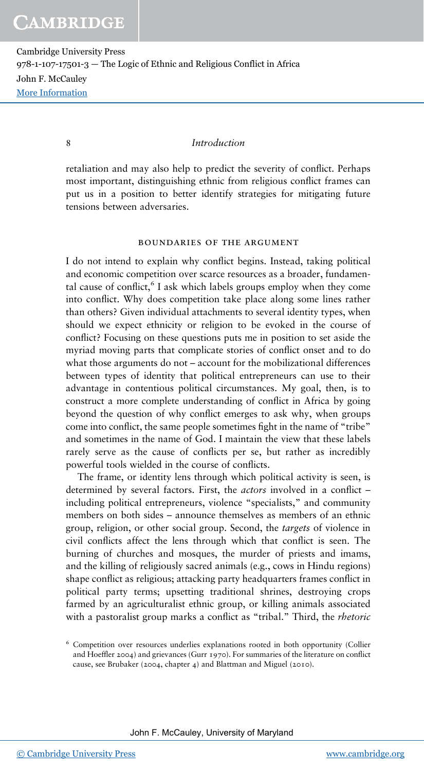retaliation and may also help to predict the severity of conflict. Perhaps most important, distinguishing ethnic from religious conflict frames can put us in a position to better identify strategies for mitigating future tensions between adversaries.

#### boundaries of the argument

I do not intend to explain why conflict begins. Instead, taking political and economic competition over scarce resources as a broader, fundamental cause of conflict, <sup>6</sup> I ask which labels groups employ when they come into conflict. Why does competition take place along some lines rather than others? Given individual attachments to several identity types, when should we expect ethnicity or religion to be evoked in the course of conflict? Focusing on these questions puts me in position to set aside the myriad moving parts that complicate stories of conflict onset and to do what those arguments do not – account for the mobilizational differences between types of identity that political entrepreneurs can use to their advantage in contentious political circumstances. My goal, then, is to construct a more complete understanding of conflict in Africa by going beyond the question of why conflict emerges to ask why, when groups come into conflict, the same people sometimes fight in the name of "tribe" and sometimes in the name of God. I maintain the view that these labels rarely serve as the cause of conflicts per se, but rather as incredibly powerful tools wielded in the course of conflicts.

The frame, or identity lens through which political activity is seen, is determined by several factors. First, the actors involved in a conflict – including political entrepreneurs, violence "specialists," and community members on both sides – announce themselves as members of an ethnic group, religion, or other social group. Second, the *targets* of violence in civil conflicts affect the lens through which that conflict is seen. The burning of churches and mosques, the murder of priests and imams, and the killing of religiously sacred animals (e.g., cows in Hindu regions) shape conflict as religious; attacking party headquarters frames conflict in political party terms; upsetting traditional shrines, destroying crops farmed by an agriculturalist ethnic group, or killing animals associated with a pastoralist group marks a conflict as "tribal." Third, the rhetoric

<sup>6</sup> Competition over resources underlies explanations rooted in both opportunity (Collier and Hoeffler 2004) and grievances (Gurr 1970). For summaries of the literature on conflict cause, see Brubaker (2004, chapter 4) and Blattman and Miguel (2010).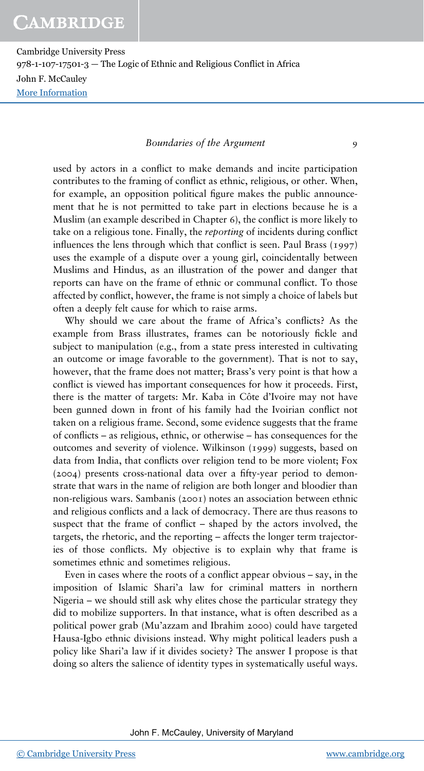## Boundaries of the Argument 9

used by actors in a conflict to make demands and incite participation contributes to the framing of conflict as ethnic, religious, or other. When, for example, an opposition political figure makes the public announcement that he is not permitted to take part in elections because he is a Muslim (an example described in Chapter 6), the conflict is more likely to take on a religious tone. Finally, the *reporting* of incidents during conflict influences the lens through which that conflict is seen. Paul Brass (1997) uses the example of a dispute over a young girl, coincidentally between Muslims and Hindus, as an illustration of the power and danger that reports can have on the frame of ethnic or communal conflict. To those affected by conflict, however, the frame is not simply a choice of labels but often a deeply felt cause for which to raise arms.

Why should we care about the frame of Africa's conflicts? As the example from Brass illustrates, frames can be notoriously fickle and subject to manipulation (e.g., from a state press interested in cultivating an outcome or image favorable to the government). That is not to say, however, that the frame does not matter; Brass's very point is that how a conflict is viewed has important consequences for how it proceeds. First, there is the matter of targets: Mr. Kaba in Côte d'Ivoire may not have been gunned down in front of his family had the Ivoirian conflict not taken on a religious frame. Second, some evidence suggests that the frame of conflicts – as religious, ethnic, or otherwise – has consequences for the outcomes and severity of violence. Wilkinson (1999) suggests, based on data from India, that conflicts over religion tend to be more violent; Fox (2004) presents cross-national data over a fifty-year period to demonstrate that wars in the name of religion are both longer and bloodier than non-religious wars. Sambanis (2001) notes an association between ethnic and religious conflicts and a lack of democracy. There are thus reasons to suspect that the frame of conflict – shaped by the actors involved, the targets, the rhetoric, and the reporting – affects the longer term trajectories of those conflicts. My objective is to explain why that frame is sometimes ethnic and sometimes religious.

Even in cases where the roots of a conflict appear obvious – say, in the imposition of Islamic Shari'a law for criminal matters in northern Nigeria – we should still ask why elites chose the particular strategy they did to mobilize supporters. In that instance, what is often described as a political power grab (Mu'azzam and Ibrahim 2000) could have targeted Hausa-Igbo ethnic divisions instead. Why might political leaders push a policy like Shari'a law if it divides society? The answer I propose is that doing so alters the salience of identity types in systematically useful ways.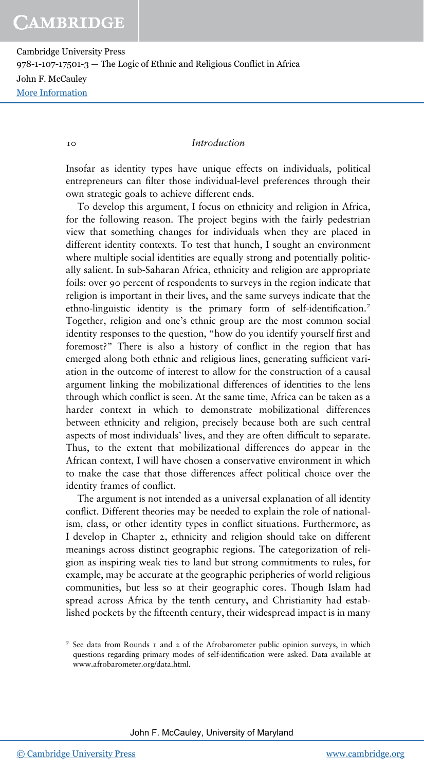Insofar as identity types have unique effects on individuals, political entrepreneurs can filter those individual-level preferences through their own strategic goals to achieve different ends.

To develop this argument, I focus on ethnicity and religion in Africa, for the following reason. The project begins with the fairly pedestrian view that something changes for individuals when they are placed in different identity contexts. To test that hunch, I sought an environment where multiple social identities are equally strong and potentially politically salient. In sub-Saharan Africa, ethnicity and religion are appropriate foils: over 90 percent of respondents to surveys in the region indicate that religion is important in their lives, and the same surveys indicate that the ethno-linguistic identity is the primary form of self-identification.<sup>7</sup> Together, religion and one's ethnic group are the most common social identity responses to the question, "how do you identify yourself first and foremost?" There is also a history of conflict in the region that has emerged along both ethnic and religious lines, generating sufficient variation in the outcome of interest to allow for the construction of a causal argument linking the mobilizational differences of identities to the lens through which conflict is seen. At the same time, Africa can be taken as a harder context in which to demonstrate mobilizational differences between ethnicity and religion, precisely because both are such central aspects of most individuals' lives, and they are often difficult to separate. Thus, to the extent that mobilizational differences do appear in the African context, I will have chosen a conservative environment in which to make the case that those differences affect political choice over the identity frames of conflict.

The argument is not intended as a universal explanation of all identity conflict. Different theories may be needed to explain the role of nationalism, class, or other identity types in conflict situations. Furthermore, as I develop in Chapter 2, ethnicity and religion should take on different meanings across distinct geographic regions. The categorization of religion as inspiring weak ties to land but strong commitments to rules, for example, may be accurate at the geographic peripheries of world religious communities, but less so at their geographic cores. Though Islam had spread across Africa by the tenth century, and Christianity had established pockets by the fifteenth century, their widespread impact is in many

<sup>7</sup> See data from Rounds 1 and 2 of the Afrobarometer public opinion surveys, in which questions regarding primary modes of self-identification were asked. Data available at www.afrobarometer.org/data.html.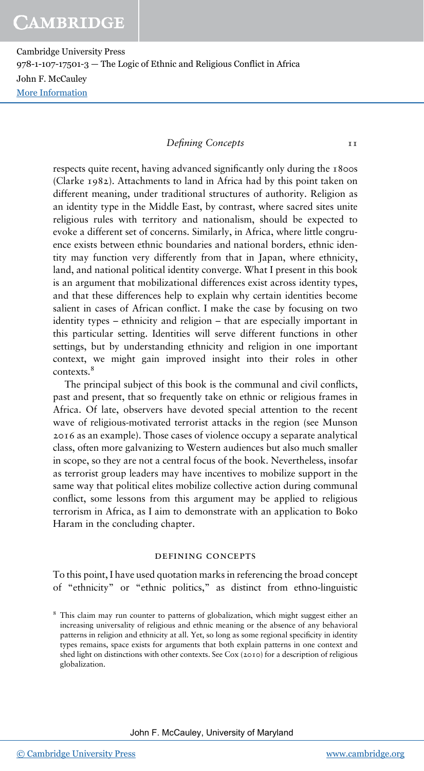## Defining Concepts 11

respects quite recent, having advanced significantly only during the 1800s (Clarke 1982). Attachments to land in Africa had by this point taken on different meaning, under traditional structures of authority. Religion as an identity type in the Middle East, by contrast, where sacred sites unite religious rules with territory and nationalism, should be expected to evoke a different set of concerns. Similarly, in Africa, where little congruence exists between ethnic boundaries and national borders, ethnic identity may function very differently from that in Japan, where ethnicity, land, and national political identity converge. What I present in this book is an argument that mobilizational differences exist across identity types, and that these differences help to explain why certain identities become salient in cases of African conflict. I make the case by focusing on two identity types – ethnicity and religion – that are especially important in this particular setting. Identities will serve different functions in other settings, but by understanding ethnicity and religion in one important context, we might gain improved insight into their roles in other contexts.<sup>8</sup>

The principal subject of this book is the communal and civil conflicts, past and present, that so frequently take on ethnic or religious frames in Africa. Of late, observers have devoted special attention to the recent wave of religious-motivated terrorist attacks in the region (see Munson 2016 as an example). Those cases of violence occupy a separate analytical class, often more galvanizing to Western audiences but also much smaller in scope, so they are not a central focus of the book. Nevertheless, insofar as terrorist group leaders may have incentives to mobilize support in the same way that political elites mobilize collective action during communal conflict, some lessons from this argument may be applied to religious terrorism in Africa, as I aim to demonstrate with an application to Boko Haram in the concluding chapter.

## defining concepts

To this point, I have used quotation marks in referencing the broad concept of "ethnicity" or "ethnic politics," as distinct from ethno-linguistic

<sup>&</sup>lt;sup>8</sup> This claim may run counter to patterns of globalization, which might suggest either an increasing universality of religious and ethnic meaning or the absence of any behavioral patterns in religion and ethnicity at all. Yet, so long as some regional specificity in identity types remains, space exists for arguments that both explain patterns in one context and shed light on distinctions with other contexts. See Cox (2010) for a description of religious globalization.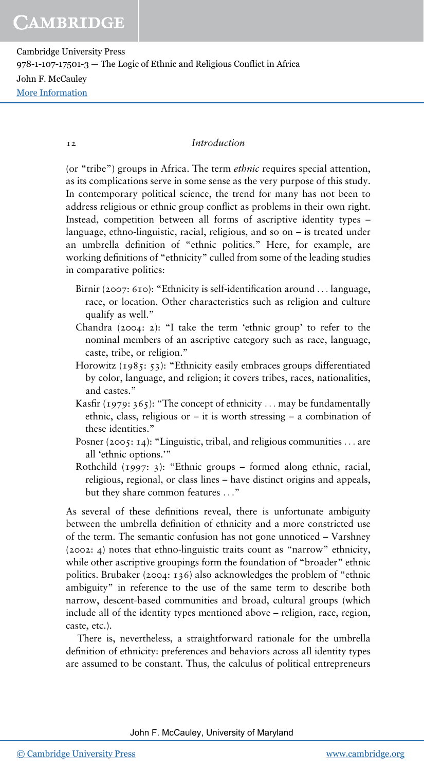(or "tribe") groups in Africa. The term *ethnic* requires special attention, as its complications serve in some sense as the very purpose of this study. In contemporary political science, the trend for many has not been to address religious or ethnic group conflict as problems in their own right. Instead, competition between all forms of ascriptive identity types – language, ethno-linguistic, racial, religious, and so on – is treated under an umbrella definition of "ethnic politics." Here, for example, are working definitions of "ethnicity" culled from some of the leading studies in comparative politics:

- Birnir (2007: 610): "Ethnicity is self-identification around ... language, race, or location. Other characteristics such as religion and culture qualify as well."
- Chandra (2004: 2): "I take the term 'ethnic group' to refer to the nominal members of an ascriptive category such as race, language, caste, tribe, or religion."
- Horowitz (1985: 53): "Ethnicity easily embraces groups differentiated by color, language, and religion; it covers tribes, races, nationalities, and castes."
- Kasfir (1979:  $365$ ): "The concept of ethnicity ... may be fundamentally ethnic, class, religious or – it is worth stressing – a combination of these identities."
- Posner (2005:  $I_4$ ): "Linguistic, tribal, and religious communities ... are all 'ethnic options.'"
- Rothchild (1997: 3): "Ethnic groups formed along ethnic, racial, religious, regional, or class lines – have distinct origins and appeals, but they share common features ..."

As several of these definitions reveal, there is unfortunate ambiguity between the umbrella definition of ethnicity and a more constricted use of the term. The semantic confusion has not gone unnoticed – Varshney (2002: 4) notes that ethno-linguistic traits count as "narrow" ethnicity, while other ascriptive groupings form the foundation of "broader" ethnic politics. Brubaker (2004: 136) also acknowledges the problem of "ethnic ambiguity" in reference to the use of the same term to describe both narrow, descent-based communities and broad, cultural groups (which include all of the identity types mentioned above – religion, race, region, caste, etc.).

There is, nevertheless, a straightforward rationale for the umbrella definition of ethnicity: preferences and behaviors across all identity types are assumed to be constant. Thus, the calculus of political entrepreneurs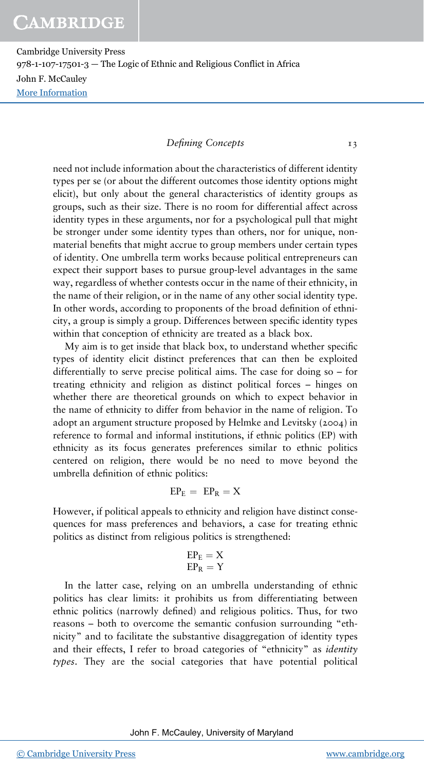## Defining Concepts 13

need not include information about the characteristics of different identity types per se (or about the different outcomes those identity options might elicit), but only about the general characteristics of identity groups as groups, such as their size. There is no room for differential affect across identity types in these arguments, nor for a psychological pull that might be stronger under some identity types than others, nor for unique, nonmaterial benefits that might accrue to group members under certain types of identity. One umbrella term works because political entrepreneurs can expect their support bases to pursue group-level advantages in the same way, regardless of whether contests occur in the name of their ethnicity, in the name of their religion, or in the name of any other social identity type. In other words, according to proponents of the broad definition of ethnicity, a group is simply a group. Differences between specific identity types within that conception of ethnicity are treated as a black box.

My aim is to get inside that black box, to understand whether specific types of identity elicit distinct preferences that can then be exploited differentially to serve precise political aims. The case for doing so – for treating ethnicity and religion as distinct political forces – hinges on whether there are theoretical grounds on which to expect behavior in the name of ethnicity to differ from behavior in the name of religion. To adopt an argument structure proposed by Helmke and Levitsky (2004) in reference to formal and informal institutions, if ethnic politics (EP) with ethnicity as its focus generates preferences similar to ethnic politics centered on religion, there would be no need to move beyond the umbrella definition of ethnic politics:

$$
EP_E\,=\, \, EP_R\,=\,X
$$

However, if political appeals to ethnicity and religion have distinct consequences for mass preferences and behaviors, a case for treating ethnic politics as distinct from religious politics is strengthened:

$$
\begin{array}{c} EP_E=X\\ EP_R=Y\end{array}
$$

In the latter case, relying on an umbrella understanding of ethnic politics has clear limits: it prohibits us from differentiating between ethnic politics (narrowly defined) and religious politics. Thus, for two reasons – both to overcome the semantic confusion surrounding "ethnicity" and to facilitate the substantive disaggregation of identity types and their effects, I refer to broad categories of "ethnicity" as identity types. They are the social categories that have potential political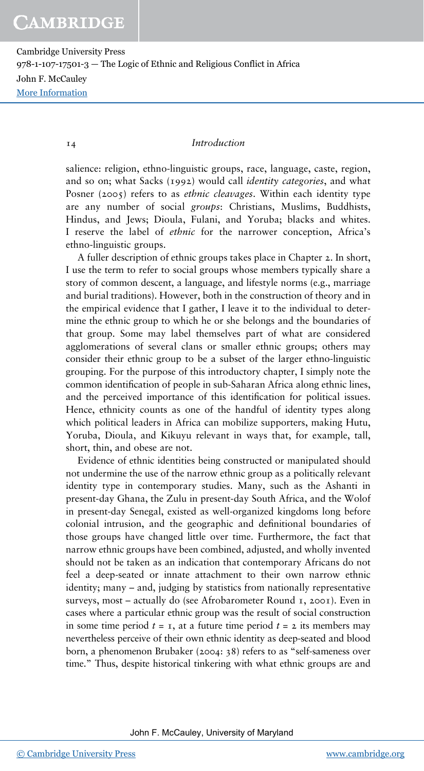Cambridge University Press 978-1-107-17501-3 — The Logic of Ethnic and Religious Conflict in Africa John F. McCauley [More Information](www.cambridge.org/9781107175013)

#### 14 Introduction

salience: religion, ethno-linguistic groups, race, language, caste, region, and so on; what Sacks (1992) would call *identity categories*, and what Posner (2005) refers to as ethnic cleavages. Within each identity type are any number of social groups: Christians, Muslims, Buddhists, Hindus, and Jews; Dioula, Fulani, and Yoruba; blacks and whites. I reserve the label of ethnic for the narrower conception, Africa's ethno-linguistic groups.

A fuller description of ethnic groups takes place in Chapter 2. In short, I use the term to refer to social groups whose members typically share a story of common descent, a language, and lifestyle norms (e.g., marriage and burial traditions). However, both in the construction of theory and in the empirical evidence that I gather, I leave it to the individual to determine the ethnic group to which he or she belongs and the boundaries of that group. Some may label themselves part of what are considered agglomerations of several clans or smaller ethnic groups; others may consider their ethnic group to be a subset of the larger ethno-linguistic grouping. For the purpose of this introductory chapter, I simply note the common identification of people in sub-Saharan Africa along ethnic lines, and the perceived importance of this identification for political issues. Hence, ethnicity counts as one of the handful of identity types along which political leaders in Africa can mobilize supporters, making Hutu, Yoruba, Dioula, and Kikuyu relevant in ways that, for example, tall, short, thin, and obese are not.

Evidence of ethnic identities being constructed or manipulated should not undermine the use of the narrow ethnic group as a politically relevant identity type in contemporary studies. Many, such as the Ashanti in present-day Ghana, the Zulu in present-day South Africa, and the Wolof in present-day Senegal, existed as well-organized kingdoms long before colonial intrusion, and the geographic and definitional boundaries of those groups have changed little over time. Furthermore, the fact that narrow ethnic groups have been combined, adjusted, and wholly invented should not be taken as an indication that contemporary Africans do not feel a deep-seated or innate attachment to their own narrow ethnic identity; many – and, judging by statistics from nationally representative surveys, most – actually do (see Afrobarometer Round  $\tau$ , 2001). Even in cases where a particular ethnic group was the result of social construction in some time period  $t =$  1, at a future time period  $t =$  2 its members may nevertheless perceive of their own ethnic identity as deep-seated and blood born, a phenomenon Brubaker (2004: 38) refers to as "self-sameness over time." Thus, despite historical tinkering with what ethnic groups are and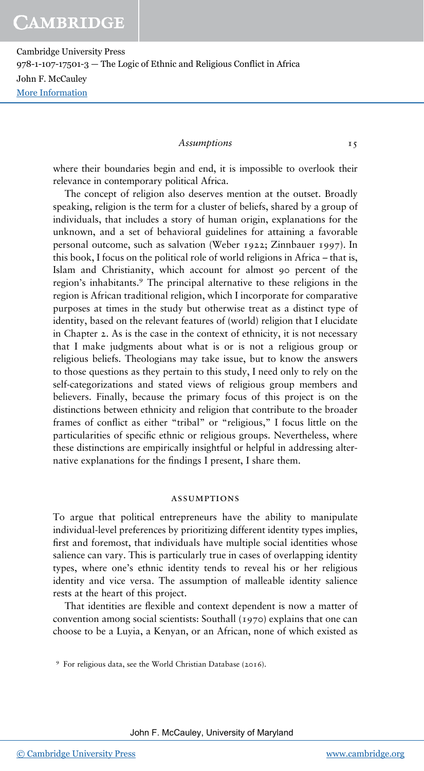#### Assumptions 15

where their boundaries begin and end, it is impossible to overlook their relevance in contemporary political Africa.

The concept of religion also deserves mention at the outset. Broadly speaking, religion is the term for a cluster of beliefs, shared by a group of individuals, that includes a story of human origin, explanations for the unknown, and a set of behavioral guidelines for attaining a favorable personal outcome, such as salvation (Weber 1922; Zinnbauer 1997). In this book, I focus on the political role of world religions in Africa – that is, Islam and Christianity, which account for almost 90 percent of the region's inhabitants.<sup>9</sup> The principal alternative to these religions in the region is African traditional religion, which I incorporate for comparative purposes at times in the study but otherwise treat as a distinct type of identity, based on the relevant features of (world) religion that I elucidate in Chapter 2. As is the case in the context of ethnicity, it is not necessary that I make judgments about what is or is not a religious group or religious beliefs. Theologians may take issue, but to know the answers to those questions as they pertain to this study, I need only to rely on the self-categorizations and stated views of religious group members and believers. Finally, because the primary focus of this project is on the distinctions between ethnicity and religion that contribute to the broader frames of conflict as either "tribal" or "religious," I focus little on the particularities of specific ethnic or religious groups. Nevertheless, where these distinctions are empirically insightful or helpful in addressing alternative explanations for the findings I present, I share them.

#### assumptions

To argue that political entrepreneurs have the ability to manipulate individual-level preferences by prioritizing different identity types implies, first and foremost, that individuals have multiple social identities whose salience can vary. This is particularly true in cases of overlapping identity types, where one's ethnic identity tends to reveal his or her religious identity and vice versa. The assumption of malleable identity salience rests at the heart of this project.

That identities are flexible and context dependent is now a matter of convention among social scientists: Southall (1970) explains that one can choose to be a Luyia, a Kenyan, or an African, none of which existed as

<sup>9</sup> For religious data, see the World Christian Database (2016).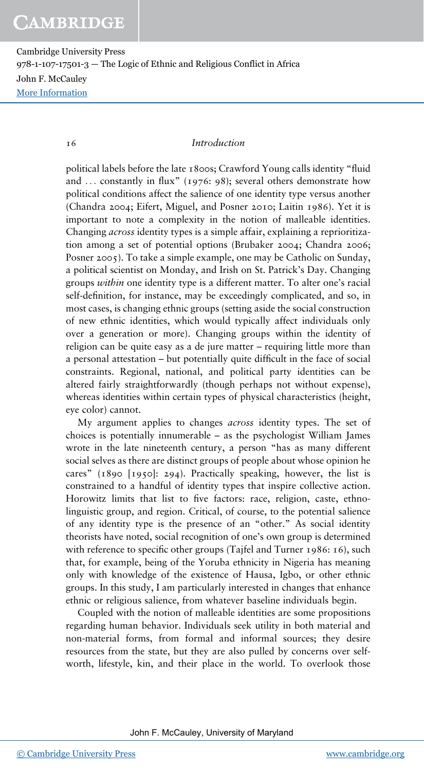Cambridge University Press 978-1-107-17501-3 — The Logic of Ethnic and Religious Conflict in Africa John F. McCauley [More Information](www.cambridge.org/9781107175013)

#### 16 Introduction

political labels before the late 1800s; Crawford Young calls identity "fluid and ... constantly in flux" (1976: 98); several others demonstrate how political conditions affect the salience of one identity type versus another (Chandra 2004; Eifert, Miguel, and Posner 2010; Laitin 1986). Yet it is important to note a complexity in the notion of malleable identities. Changing across identity types is a simple affair, explaining a reprioritization among a set of potential options (Brubaker 2004; Chandra 2006; Posner 2005). To take a simple example, one may be Catholic on Sunday, a political scientist on Monday, and Irish on St. Patrick's Day. Changing groups within one identity type is a different matter. To alter one's racial self-definition, for instance, may be exceedingly complicated, and so, in most cases, is changing ethnic groups (setting aside the social construction of new ethnic identities, which would typically affect individuals only over a generation or more). Changing groups within the identity of religion can be quite easy as a de jure matter – requiring little more than a personal attestation – but potentially quite difficult in the face of social constraints. Regional, national, and political party identities can be altered fairly straightforwardly (though perhaps not without expense), whereas identities within certain types of physical characteristics (height, eye color) cannot.

My argument applies to changes across identity types. The set of choices is potentially innumerable – as the psychologist William James wrote in the late nineteenth century, a person "has as many different social selves as there are distinct groups of people about whose opinion he cares" (1890 [1950]: 294). Practically speaking, however, the list is constrained to a handful of identity types that inspire collective action. Horowitz limits that list to five factors: race, religion, caste, ethnolinguistic group, and region. Critical, of course, to the potential salience of any identity type is the presence of an "other." As social identity theorists have noted, social recognition of one's own group is determined with reference to specific other groups (Tajfel and Turner 1986: 16), such that, for example, being of the Yoruba ethnicity in Nigeria has meaning only with knowledge of the existence of Hausa, Igbo, or other ethnic groups. In this study, I am particularly interested in changes that enhance ethnic or religious salience, from whatever baseline individuals begin.

Coupled with the notion of malleable identities are some propositions regarding human behavior. Individuals seek utility in both material and non-material forms, from formal and informal sources; they desire resources from the state, but they are also pulled by concerns over selfworth, lifestyle, kin, and their place in the world. To overlook those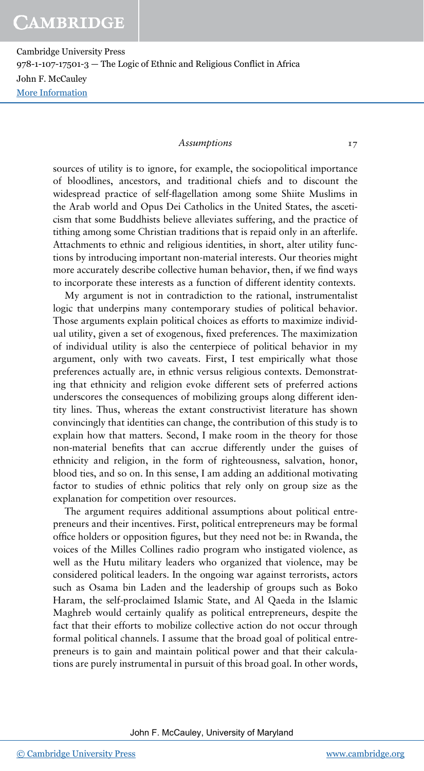#### Assumptions 17

sources of utility is to ignore, for example, the sociopolitical importance of bloodlines, ancestors, and traditional chiefs and to discount the widespread practice of self-flagellation among some Shiite Muslims in the Arab world and Opus Dei Catholics in the United States, the asceticism that some Buddhists believe alleviates suffering, and the practice of tithing among some Christian traditions that is repaid only in an afterlife. Attachments to ethnic and religious identities, in short, alter utility functions by introducing important non-material interests. Our theories might more accurately describe collective human behavior, then, if we find ways to incorporate these interests as a function of different identity contexts.

My argument is not in contradiction to the rational, instrumentalist logic that underpins many contemporary studies of political behavior. Those arguments explain political choices as efforts to maximize individual utility, given a set of exogenous, fixed preferences. The maximization of individual utility is also the centerpiece of political behavior in my argument, only with two caveats. First, I test empirically what those preferences actually are, in ethnic versus religious contexts. Demonstrating that ethnicity and religion evoke different sets of preferred actions underscores the consequences of mobilizing groups along different identity lines. Thus, whereas the extant constructivist literature has shown convincingly that identities can change, the contribution of this study is to explain how that matters. Second, I make room in the theory for those non-material benefits that can accrue differently under the guises of ethnicity and religion, in the form of righteousness, salvation, honor, blood ties, and so on. In this sense, I am adding an additional motivating factor to studies of ethnic politics that rely only on group size as the explanation for competition over resources.

The argument requires additional assumptions about political entrepreneurs and their incentives. First, political entrepreneurs may be formal office holders or opposition figures, but they need not be: in Rwanda, the voices of the Milles Collines radio program who instigated violence, as well as the Hutu military leaders who organized that violence, may be considered political leaders. In the ongoing war against terrorists, actors such as Osama bin Laden and the leadership of groups such as Boko Haram, the self-proclaimed Islamic State, and Al Qaeda in the Islamic Maghreb would certainly qualify as political entrepreneurs, despite the fact that their efforts to mobilize collective action do not occur through formal political channels. I assume that the broad goal of political entrepreneurs is to gain and maintain political power and that their calculations are purely instrumental in pursuit of this broad goal. In other words,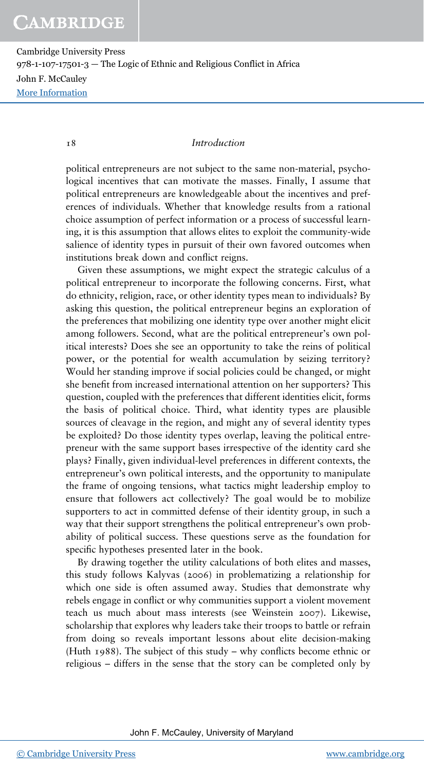Cambridge University Press 978-1-107-17501-3 — The Logic of Ethnic and Religious Conflict in Africa John F. McCauley [More Information](www.cambridge.org/9781107175013)

#### 18 Introduction

political entrepreneurs are not subject to the same non-material, psychological incentives that can motivate the masses. Finally, I assume that political entrepreneurs are knowledgeable about the incentives and preferences of individuals. Whether that knowledge results from a rational choice assumption of perfect information or a process of successful learning, it is this assumption that allows elites to exploit the community-wide salience of identity types in pursuit of their own favored outcomes when institutions break down and conflict reigns.

Given these assumptions, we might expect the strategic calculus of a political entrepreneur to incorporate the following concerns. First, what do ethnicity, religion, race, or other identity types mean to individuals? By asking this question, the political entrepreneur begins an exploration of the preferences that mobilizing one identity type over another might elicit among followers. Second, what are the political entrepreneur's own political interests? Does she see an opportunity to take the reins of political power, or the potential for wealth accumulation by seizing territory? Would her standing improve if social policies could be changed, or might she benefit from increased international attention on her supporters? This question, coupled with the preferences that different identities elicit, forms the basis of political choice. Third, what identity types are plausible sources of cleavage in the region, and might any of several identity types be exploited? Do those identity types overlap, leaving the political entrepreneur with the same support bases irrespective of the identity card she plays? Finally, given individual-level preferences in different contexts, the entrepreneur's own political interests, and the opportunity to manipulate the frame of ongoing tensions, what tactics might leadership employ to ensure that followers act collectively? The goal would be to mobilize supporters to act in committed defense of their identity group, in such a way that their support strengthens the political entrepreneur's own probability of political success. These questions serve as the foundation for specific hypotheses presented later in the book.

By drawing together the utility calculations of both elites and masses, this study follows Kalyvas (2006) in problematizing a relationship for which one side is often assumed away. Studies that demonstrate why rebels engage in conflict or why communities support a violent movement teach us much about mass interests (see Weinstein 2007). Likewise, scholarship that explores why leaders take their troops to battle or refrain from doing so reveals important lessons about elite decision-making (Huth 1988). The subject of this study – why conflicts become ethnic or religious – differs in the sense that the story can be completed only by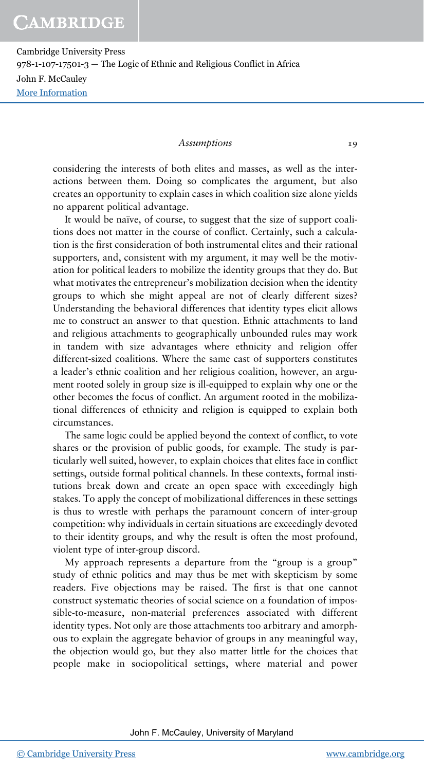#### Assumptions 19

considering the interests of both elites and masses, as well as the interactions between them. Doing so complicates the argument, but also creates an opportunity to explain cases in which coalition size alone yields no apparent political advantage.

It would be naïve, of course, to suggest that the size of support coalitions does not matter in the course of conflict. Certainly, such a calculation is the first consideration of both instrumental elites and their rational supporters, and, consistent with my argument, it may well be the motivation for political leaders to mobilize the identity groups that they do. But what motivates the entrepreneur's mobilization decision when the identity groups to which she might appeal are not of clearly different sizes? Understanding the behavioral differences that identity types elicit allows me to construct an answer to that question. Ethnic attachments to land and religious attachments to geographically unbounded rules may work in tandem with size advantages where ethnicity and religion offer different-sized coalitions. Where the same cast of supporters constitutes a leader's ethnic coalition and her religious coalition, however, an argument rooted solely in group size is ill-equipped to explain why one or the other becomes the focus of conflict. An argument rooted in the mobilizational differences of ethnicity and religion is equipped to explain both circumstances.

The same logic could be applied beyond the context of conflict, to vote shares or the provision of public goods, for example. The study is particularly well suited, however, to explain choices that elites face in conflict settings, outside formal political channels. In these contexts, formal institutions break down and create an open space with exceedingly high stakes. To apply the concept of mobilizational differences in these settings is thus to wrestle with perhaps the paramount concern of inter-group competition: why individuals in certain situations are exceedingly devoted to their identity groups, and why the result is often the most profound, violent type of inter-group discord.

My approach represents a departure from the "group is a group" study of ethnic politics and may thus be met with skepticism by some readers. Five objections may be raised. The first is that one cannot construct systematic theories of social science on a foundation of impossible-to-measure, non-material preferences associated with different identity types. Not only are those attachments too arbitrary and amorphous to explain the aggregate behavior of groups in any meaningful way, the objection would go, but they also matter little for the choices that people make in sociopolitical settings, where material and power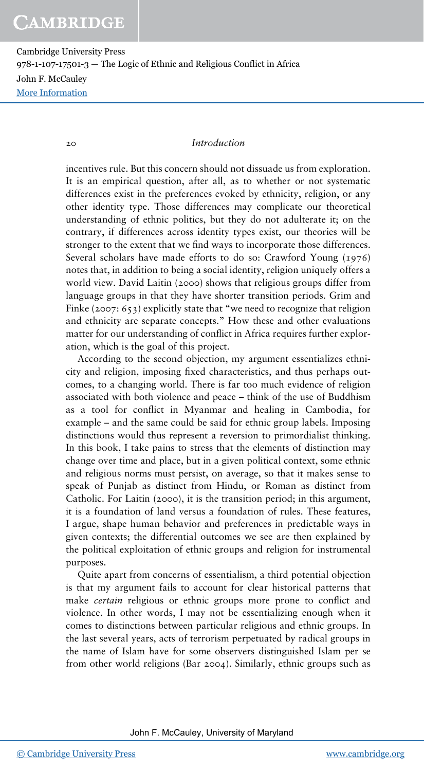Cambridge University Press 978-1-107-17501-3 — The Logic of Ethnic and Religious Conflict in Africa John F. McCauley [More Information](www.cambridge.org/9781107175013)

#### 20 Introduction

incentives rule. But this concern should not dissuade us from exploration. It is an empirical question, after all, as to whether or not systematic differences exist in the preferences evoked by ethnicity, religion, or any other identity type. Those differences may complicate our theoretical understanding of ethnic politics, but they do not adulterate it; on the contrary, if differences across identity types exist, our theories will be stronger to the extent that we find ways to incorporate those differences. Several scholars have made efforts to do so: Crawford Young (1976) notes that, in addition to being a social identity, religion uniquely offers a world view. David Laitin (2000) shows that religious groups differ from language groups in that they have shorter transition periods. Grim and Finke (2007: 653) explicitly state that "we need to recognize that religion and ethnicity are separate concepts." How these and other evaluations matter for our understanding of conflict in Africa requires further exploration, which is the goal of this project.

According to the second objection, my argument essentializes ethnicity and religion, imposing fixed characteristics, and thus perhaps outcomes, to a changing world. There is far too much evidence of religion associated with both violence and peace – think of the use of Buddhism as a tool for conflict in Myanmar and healing in Cambodia, for example – and the same could be said for ethnic group labels. Imposing distinctions would thus represent a reversion to primordialist thinking. In this book, I take pains to stress that the elements of distinction may change over time and place, but in a given political context, some ethnic and religious norms must persist, on average, so that it makes sense to speak of Punjab as distinct from Hindu, or Roman as distinct from Catholic. For Laitin (2000), it is the transition period; in this argument, it is a foundation of land versus a foundation of rules. These features, I argue, shape human behavior and preferences in predictable ways in given contexts; the differential outcomes we see are then explained by the political exploitation of ethnic groups and religion for instrumental purposes.

Quite apart from concerns of essentialism, a third potential objection is that my argument fails to account for clear historical patterns that make certain religious or ethnic groups more prone to conflict and violence. In other words, I may not be essentializing enough when it comes to distinctions between particular religious and ethnic groups. In the last several years, acts of terrorism perpetuated by radical groups in the name of Islam have for some observers distinguished Islam per se from other world religions (Bar 2004). Similarly, ethnic groups such as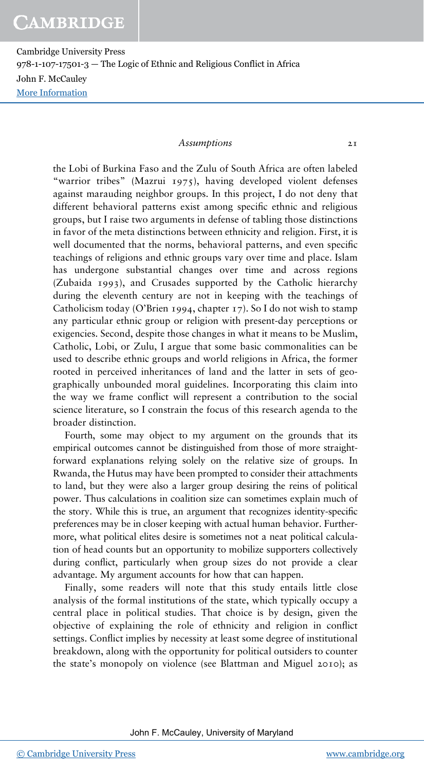#### Assumptions 21

the Lobi of Burkina Faso and the Zulu of South Africa are often labeled "warrior tribes" (Mazrui 1975), having developed violent defenses against marauding neighbor groups. In this project, I do not deny that different behavioral patterns exist among specific ethnic and religious groups, but I raise two arguments in defense of tabling those distinctions in favor of the meta distinctions between ethnicity and religion. First, it is well documented that the norms, behavioral patterns, and even specific teachings of religions and ethnic groups vary over time and place. Islam has undergone substantial changes over time and across regions (Zubaida 1993), and Crusades supported by the Catholic hierarchy during the eleventh century are not in keeping with the teachings of Catholicism today (O'Brien 1994, chapter 17). So I do not wish to stamp any particular ethnic group or religion with present-day perceptions or exigencies. Second, despite those changes in what it means to be Muslim, Catholic, Lobi, or Zulu, I argue that some basic commonalities can be used to describe ethnic groups and world religions in Africa, the former rooted in perceived inheritances of land and the latter in sets of geographically unbounded moral guidelines. Incorporating this claim into the way we frame conflict will represent a contribution to the social science literature, so I constrain the focus of this research agenda to the broader distinction.

Fourth, some may object to my argument on the grounds that its empirical outcomes cannot be distinguished from those of more straightforward explanations relying solely on the relative size of groups. In Rwanda, the Hutus may have been prompted to consider their attachments to land, but they were also a larger group desiring the reins of political power. Thus calculations in coalition size can sometimes explain much of the story. While this is true, an argument that recognizes identity-specific preferences may be in closer keeping with actual human behavior. Furthermore, what political elites desire is sometimes not a neat political calculation of head counts but an opportunity to mobilize supporters collectively during conflict, particularly when group sizes do not provide a clear advantage. My argument accounts for how that can happen.

Finally, some readers will note that this study entails little close analysis of the formal institutions of the state, which typically occupy a central place in political studies. That choice is by design, given the objective of explaining the role of ethnicity and religion in conflict settings. Conflict implies by necessity at least some degree of institutional breakdown, along with the opportunity for political outsiders to counter the state's monopoly on violence (see Blattman and Miguel 2010); as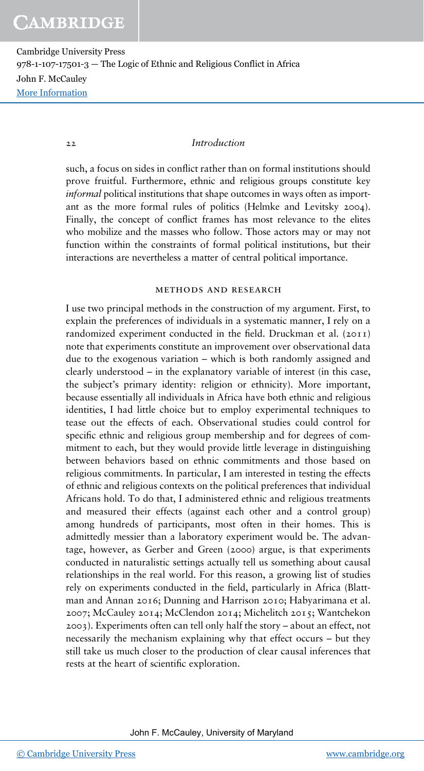such, a focus on sides in conflict rather than on formal institutions should prove fruitful. Furthermore, ethnic and religious groups constitute key informal political institutions that shape outcomes in ways often as important as the more formal rules of politics (Helmke and Levitsky 2004). Finally, the concept of conflict frames has most relevance to the elites who mobilize and the masses who follow. Those actors may or may not function within the constraints of formal political institutions, but their interactions are nevertheless a matter of central political importance.

#### methods and research

I use two principal methods in the construction of my argument. First, to explain the preferences of individuals in a systematic manner, I rely on a randomized experiment conducted in the field. Druckman et al. (2011) note that experiments constitute an improvement over observational data due to the exogenous variation – which is both randomly assigned and clearly understood – in the explanatory variable of interest (in this case, the subject's primary identity: religion or ethnicity). More important, because essentially all individuals in Africa have both ethnic and religious identities, I had little choice but to employ experimental techniques to tease out the effects of each. Observational studies could control for specific ethnic and religious group membership and for degrees of commitment to each, but they would provide little leverage in distinguishing between behaviors based on ethnic commitments and those based on religious commitments. In particular, I am interested in testing the effects of ethnic and religious contexts on the political preferences that individual Africans hold. To do that, I administered ethnic and religious treatments and measured their effects (against each other and a control group) among hundreds of participants, most often in their homes. This is admittedly messier than a laboratory experiment would be. The advantage, however, as Gerber and Green (2000) argue, is that experiments conducted in naturalistic settings actually tell us something about causal relationships in the real world. For this reason, a growing list of studies rely on experiments conducted in the field, particularly in Africa (Blattman and Annan 2016; Dunning and Harrison 2010; Habyarimana et al. 2007; McCauley 2014; McClendon 2014; Michelitch 2015; Wantchekon 2003). Experiments often can tell only half the story – about an effect, not necessarily the mechanism explaining why that effect occurs – but they still take us much closer to the production of clear causal inferences that rests at the heart of scientific exploration.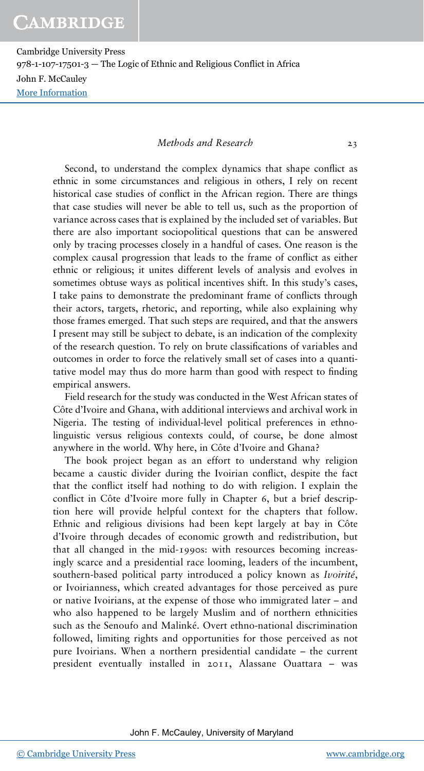## Methods and Research 23

Second, to understand the complex dynamics that shape conflict as ethnic in some circumstances and religious in others, I rely on recent historical case studies of conflict in the African region. There are things that case studies will never be able to tell us, such as the proportion of variance across cases that is explained by the included set of variables. But there are also important sociopolitical questions that can be answered only by tracing processes closely in a handful of cases. One reason is the complex causal progression that leads to the frame of conflict as either ethnic or religious; it unites different levels of analysis and evolves in sometimes obtuse ways as political incentives shift. In this study's cases, I take pains to demonstrate the predominant frame of conflicts through their actors, targets, rhetoric, and reporting, while also explaining why those frames emerged. That such steps are required, and that the answers I present may still be subject to debate, is an indication of the complexity of the research question. To rely on brute classifications of variables and outcomes in order to force the relatively small set of cases into a quantitative model may thus do more harm than good with respect to finding empirical answers.

Field research for the study was conducted in the West African states of Côte d'Ivoire and Ghana, with additional interviews and archival work in Nigeria. The testing of individual-level political preferences in ethnolinguistic versus religious contexts could, of course, be done almost anywhere in the world. Why here, in Côte d'Ivoire and Ghana?

The book project began as an effort to understand why religion became a caustic divider during the Ivoirian conflict, despite the fact that the conflict itself had nothing to do with religion. I explain the conflict in Côte d'Ivoire more fully in Chapter 6, but a brief description here will provide helpful context for the chapters that follow. Ethnic and religious divisions had been kept largely at bay in Côte d'Ivoire through decades of economic growth and redistribution, but that all changed in the mid-1990s: with resources becoming increasingly scarce and a presidential race looming, leaders of the incumbent, southern-based political party introduced a policy known as Ivoirité, or Ivoirianness, which created advantages for those perceived as pure or native Ivoirians, at the expense of those who immigrated later – and who also happened to be largely Muslim and of northern ethnicities such as the Senoufo and Malinké. Overt ethno-national discrimination followed, limiting rights and opportunities for those perceived as not pure Ivoirians. When a northern presidential candidate – the current president eventually installed in 2011, Alassane Ouattara – was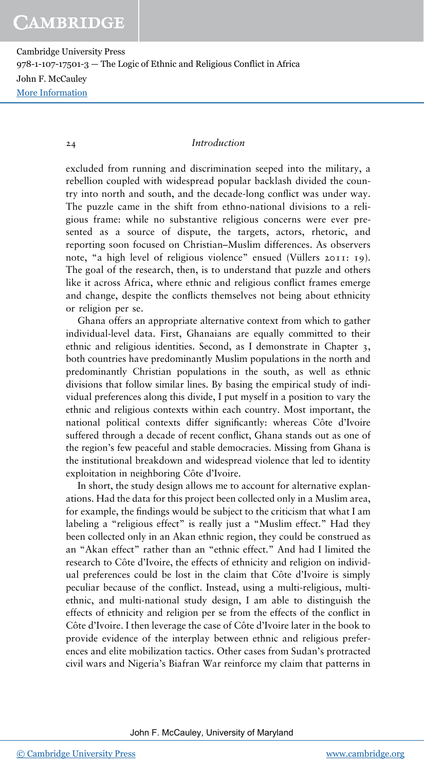Cambridge University Press 978-1-107-17501-3 — The Logic of Ethnic and Religious Conflict in Africa John F. McCauley [More Information](www.cambridge.org/9781107175013)

#### 24 Introduction

excluded from running and discrimination seeped into the military, a rebellion coupled with widespread popular backlash divided the country into north and south, and the decade-long conflict was under way. The puzzle came in the shift from ethno-national divisions to a religious frame: while no substantive religious concerns were ever presented as a source of dispute, the targets, actors, rhetoric, and reporting soon focused on Christian–Muslim differences. As observers note, "a high level of religious violence" ensued (Vüllers 2011: 19). The goal of the research, then, is to understand that puzzle and others like it across Africa, where ethnic and religious conflict frames emerge and change, despite the conflicts themselves not being about ethnicity or religion per se.

Ghana offers an appropriate alternative context from which to gather individual-level data. First, Ghanaians are equally committed to their ethnic and religious identities. Second, as I demonstrate in Chapter 3, both countries have predominantly Muslim populations in the north and predominantly Christian populations in the south, as well as ethnic divisions that follow similar lines. By basing the empirical study of individual preferences along this divide, I put myself in a position to vary the ethnic and religious contexts within each country. Most important, the national political contexts differ significantly: whereas Côte d'Ivoire suffered through a decade of recent conflict, Ghana stands out as one of the region's few peaceful and stable democracies. Missing from Ghana is the institutional breakdown and widespread violence that led to identity exploitation in neighboring Côte d'Ivoire.

In short, the study design allows me to account for alternative explanations. Had the data for this project been collected only in a Muslim area, for example, the findings would be subject to the criticism that what I am labeling a "religious effect" is really just a "Muslim effect." Had they been collected only in an Akan ethnic region, they could be construed as an "Akan effect" rather than an "ethnic effect." And had I limited the research to Côte d'Ivoire, the effects of ethnicity and religion on individual preferences could be lost in the claim that Côte d'Ivoire is simply peculiar because of the conflict. Instead, using a multi-religious, multiethnic, and multi-national study design, I am able to distinguish the effects of ethnicity and religion per se from the effects of the conflict in Côte d'Ivoire. I then leverage the case of Côte d'Ivoire later in the book to provide evidence of the interplay between ethnic and religious preferences and elite mobilization tactics. Other cases from Sudan's protracted civil wars and Nigeria's Biafran War reinforce my claim that patterns in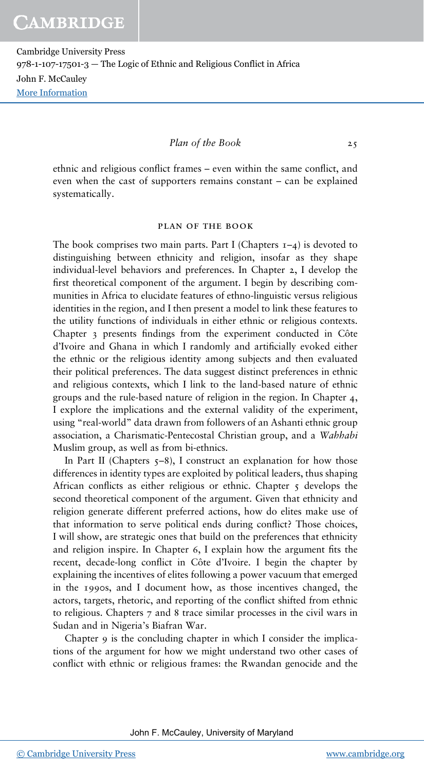## Plan of the Book  $25$

ethnic and religious conflict frames – even within the same conflict, and even when the cast of supporters remains constant – can be explained systematically.

#### plan of the book

The book comprises two main parts. Part I (Chapters  $I-4$ ) is devoted to distinguishing between ethnicity and religion, insofar as they shape individual-level behaviors and preferences. In Chapter 2, I develop the first theoretical component of the argument. I begin by describing communities in Africa to elucidate features of ethno-linguistic versus religious identities in the region, and I then present a model to link these features to the utility functions of individuals in either ethnic or religious contexts. Chapter 3 presents findings from the experiment conducted in Côte d'Ivoire and Ghana in which I randomly and artificially evoked either the ethnic or the religious identity among subjects and then evaluated their political preferences. The data suggest distinct preferences in ethnic and religious contexts, which I link to the land-based nature of ethnic groups and the rule-based nature of religion in the region. In Chapter 4, I explore the implications and the external validity of the experiment, using "real-world" data drawn from followers of an Ashanti ethnic group association, a Charismatic-Pentecostal Christian group, and a Wahhabi Muslim group, as well as from bi-ethnics.

In Part II (Chapters  $5-8$ ), I construct an explanation for how those differences in identity types are exploited by political leaders, thus shaping African conflicts as either religious or ethnic. Chapter 5 develops the second theoretical component of the argument. Given that ethnicity and religion generate different preferred actions, how do elites make use of that information to serve political ends during conflict? Those choices, I will show, are strategic ones that build on the preferences that ethnicity and religion inspire. In Chapter 6, I explain how the argument fits the recent, decade-long conflict in Côte d'Ivoire. I begin the chapter by explaining the incentives of elites following a power vacuum that emerged in the 1990s, and I document how, as those incentives changed, the actors, targets, rhetoric, and reporting of the conflict shifted from ethnic to religious. Chapters 7 and 8 trace similar processes in the civil wars in Sudan and in Nigeria's Biafran War.

Chapter 9 is the concluding chapter in which I consider the implications of the argument for how we might understand two other cases of conflict with ethnic or religious frames: the Rwandan genocide and the